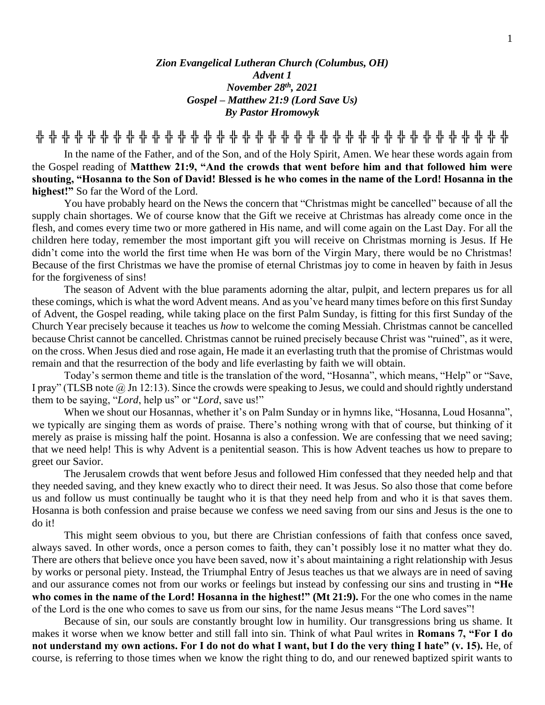## *Zion Evangelical Lutheran Church (Columbus, OH) Advent 1 November 28th, 2021 Gospel – Matthew 21:9 (Lord Save Us) By Pastor Hromowyk*

**╬ ╬ ╬ ╬ ╬ ╬ ╬ ╬ ╬ ╬ ╬ ╬ ╬ ╬ ╬ ╬ ╬ ╬ ╬ ╬ ╬ ╬ ╬ ╬ ╬ ╬ ╬ ╬ ╬ ╬ ╬ ╬ ╬ ╬ ╬ ╬ ╬**

In the name of the Father, and of the Son, and of the Holy Spirit, Amen. We hear these words again from the Gospel reading of **Matthew 21:9, "And the crowds that went before him and that followed him were shouting, "Hosanna to the Son of David! Blessed is he who comes in the name of the Lord! Hosanna in the highest!"** So far the Word of the Lord.

You have probably heard on the News the concern that "Christmas might be cancelled" because of all the supply chain shortages. We of course know that the Gift we receive at Christmas has already come once in the flesh, and comes every time two or more gathered in His name, and will come again on the Last Day. For all the children here today, remember the most important gift you will receive on Christmas morning is Jesus. If He didn't come into the world the first time when He was born of the Virgin Mary, there would be no Christmas! Because of the first Christmas we have the promise of eternal Christmas joy to come in heaven by faith in Jesus for the forgiveness of sins!

The season of Advent with the blue paraments adorning the altar, pulpit, and lectern prepares us for all these comings, which is what the word Advent means. And as you've heard many times before on this first Sunday of Advent, the Gospel reading, while taking place on the first Palm Sunday, is fitting for this first Sunday of the Church Year precisely because it teaches us *how* to welcome the coming Messiah. Christmas cannot be cancelled because Christ cannot be cancelled. Christmas cannot be ruined precisely because Christ was "ruined", as it were, on the cross. When Jesus died and rose again, He made it an everlasting truth that the promise of Christmas would remain and that the resurrection of the body and life everlasting by faith we will obtain.

Today's sermon theme and title is the translation of the word, "Hosanna", which means, "Help" or "Save, I pray" (TLSB note @ Jn 12:13). Since the crowds were speaking to Jesus, we could and should rightly understand them to be saying, "*Lord*, help us" or "*Lord*, save us!"

When we shout our Hosannas, whether it's on Palm Sunday or in hymns like, "Hosanna, Loud Hosanna", we typically are singing them as words of praise. There's nothing wrong with that of course, but thinking of it merely as praise is missing half the point. Hosanna is also a confession. We are confessing that we need saving; that we need help! This is why Advent is a penitential season. This is how Advent teaches us how to prepare to greet our Savior.

The Jerusalem crowds that went before Jesus and followed Him confessed that they needed help and that they needed saving, and they knew exactly who to direct their need. It was Jesus. So also those that come before us and follow us must continually be taught who it is that they need help from and who it is that saves them. Hosanna is both confession and praise because we confess we need saving from our sins and Jesus is the one to do it!

This might seem obvious to you, but there are Christian confessions of faith that confess once saved, always saved. In other words, once a person comes to faith, they can't possibly lose it no matter what they do. There are others that believe once you have been saved, now it's about maintaining a right relationship with Jesus by works or personal piety. Instead, the Triumphal Entry of Jesus teaches us that we always are in need of saving and our assurance comes not from our works or feelings but instead by confessing our sins and trusting in **"He who comes in the name of the Lord! Hosanna in the highest!" (Mt 21:9).** For the one who comes in the name of the Lord is the one who comes to save us from our sins, for the name Jesus means "The Lord saves"!

Because of sin, our souls are constantly brought low in humility. Our transgressions bring us shame. It makes it worse when we know better and still fall into sin. Think of what Paul writes in **Romans 7, "For I do not understand my own actions. For I do not do what I want, but I do the very thing I hate" (v. 15).** He, of course, is referring to those times when we know the right thing to do, and our renewed baptized spirit wants to